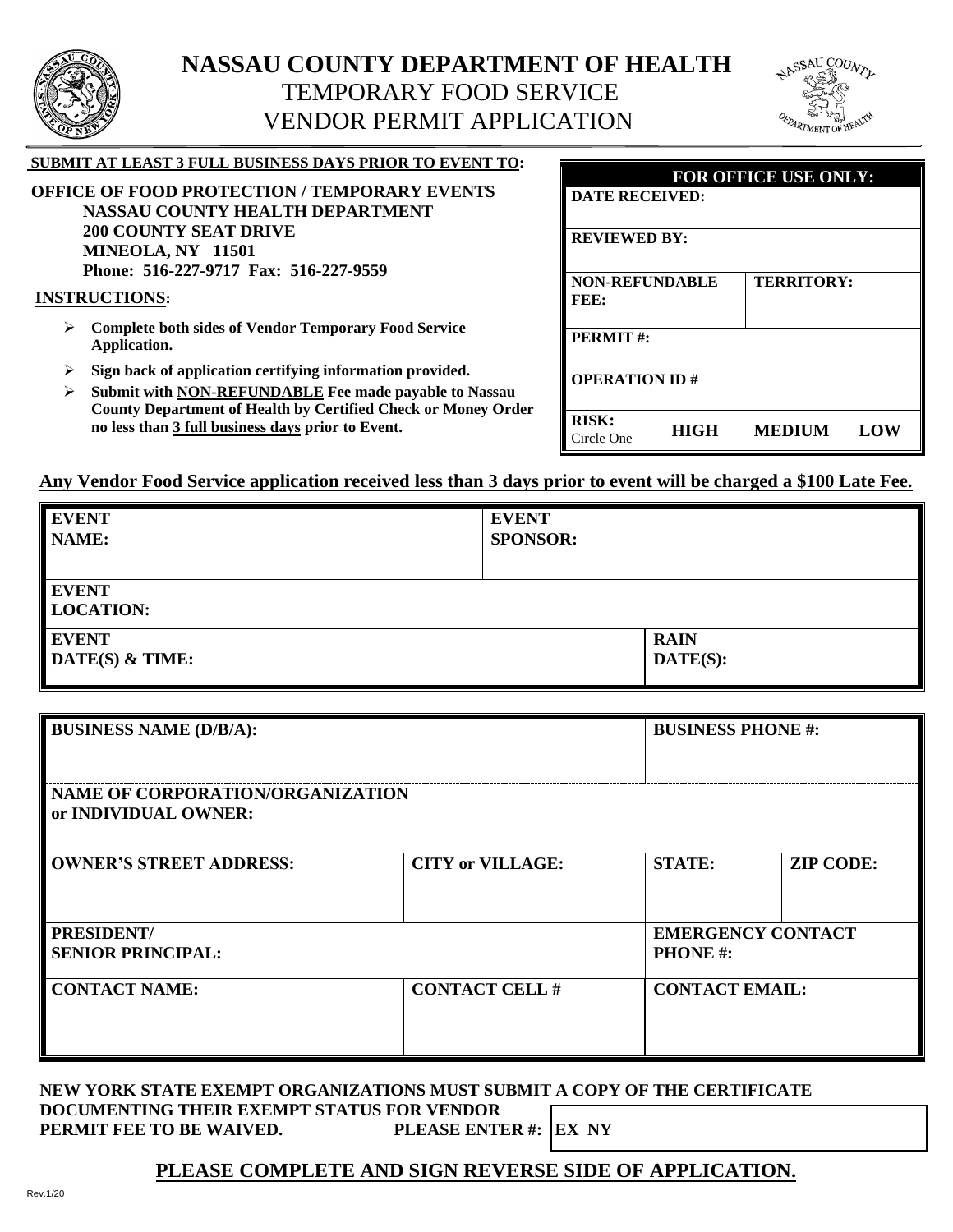

# **NASSAU COUNTY DEPARTMENT OF HEALTH** TEMPORARY FOOD SERVICE VENDOR PERMIT APPLICATION



| <b>SUBMIT AT LEAST 3 FULL BUSINESS DAYS PRIOR TO EVENT TO:</b><br><b>OFFICE OF FOOD PROTECTION / TEMPORARY EVENTS</b><br><b>NASSAU COUNTY HEALTH DEPARTMENT</b> | FOR OFFICE USE ONLY:<br><b>DATE RECEIVED:</b>                     |
|-----------------------------------------------------------------------------------------------------------------------------------------------------------------|-------------------------------------------------------------------|
| <b>200 COUNTY SEAT DRIVE</b><br>MINEOLA, NY 11501<br>Phone: 516-227-9717 Fax: 516-227-9559                                                                      | <b>REVIEWED BY:</b>                                               |
| <b>INSTRUCTIONS:</b><br><b>Complete both sides of Vendor Temporary Food Service</b><br>➤                                                                        | <b>NON-REFUNDABLE</b><br>TERRITORY:<br>FEE:                       |
| Application.<br>Sign back of application certifying information provided.<br>➤                                                                                  | <b>PERMIT#:</b>                                                   |
| Submit with NON-REFUNDABLE Fee made payable to Nassau<br>➤<br><b>County Department of Health by Certified Check or Money Order</b>                              | <b>OPERATION ID#</b>                                              |
| no less than 3 full business days prior to Event.                                                                                                               | <b>RISK:</b><br><b>HIGH</b><br><b>MEDIUM</b><br>LOW<br>Circle One |

#### **Any Vendor Food Service application received less than 3 days prior to event will be charged a \$100 Late Fee.**

| <b>EVENT</b>                     | <b>EVENT</b>         |
|----------------------------------|----------------------|
| NAME:                            | <b>SPONSOR:</b>      |
|                                  |                      |
| <b>EVENT</b><br><b>LOCATION:</b> |                      |
| <b>EVENT</b>                     | <b>RAIN</b>          |
| DATE(S) & TIME:                  | $\mathbf{DATE}(S)$ : |

| <b>BUSINESS NAME (D/B/A):</b>                            |                         | <b>BUSINESS PHONE#:</b>                     |                  |
|----------------------------------------------------------|-------------------------|---------------------------------------------|------------------|
| NAME OF CORPORATION/ORGANIZATION<br>or INDIVIDUAL OWNER: |                         |                                             |                  |
| <b>OWNER'S STREET ADDRESS:</b>                           | <b>CITY or VILLAGE:</b> | <b>STATE:</b>                               | <b>ZIP CODE:</b> |
| PRESIDENT/<br><b>SENIOR PRINCIPAL:</b>                   |                         | <b>EMERGENCY CONTACT</b><br><b>PHONE</b> #: |                  |
| <b>CONTACT NAME:</b>                                     | <b>CONTACT CELL#</b>    | <b>CONTACT EMAIL:</b>                       |                  |

#### **NEW YORK STATE EXEMPT ORGANIZATIONS MUST SUBMIT A COPY OF THE CERTIFICATE DOCUMENTING THEIR EXEMPT STATUS FOR VENDOR<br>PERMIT FEE TO BE WAIVED. PLEASE ENTER #: EX NY PERMIT FEE TO BE WAIVED.**

### **PLEASE COMPLETE AND SIGN REVERSE SIDE OF APPLICATION.**